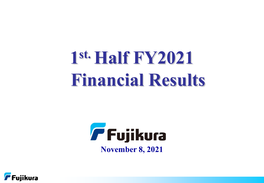## **1 st. Half FY2021 Financial Results**



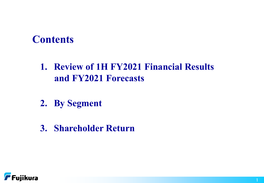## **Contents**

## **1. Review of 1H FY2021 Financial Results and FY2021 Forecasts**

- **2. By Segment**
- **3. Shareholder Return**

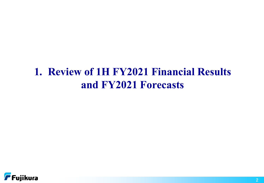## **1. Review of 1H FY2021 Financial Results and FY2021 Forecasts**

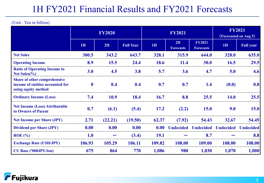## 1H FY2021 Financial Results and FY2021 Forecasts

|                                                                                                |             | <b>FY2020</b> |                  |             | <b>FY2021</b>          |                                   |                            | <b>FY2021</b><br>(Forecasted on Aug 5) |
|------------------------------------------------------------------------------------------------|-------------|---------------|------------------|-------------|------------------------|-----------------------------------|----------------------------|----------------------------------------|
|                                                                                                | 1H          | 2H            | <b>Full Year</b> | 1H          | 2H<br><b>Forecasts</b> | <b>FY2021</b><br><b>Forecasts</b> | 1H                         | <b>Full year</b>                       |
| <b>Net Sales</b>                                                                               | 300.5       | 343.2         | 643.7            | 328.1       | 315.9                  | 644.0                             | 328.0                      | 635.0                                  |
| <b>Operating Income</b>                                                                        | 8.9         | 15.5          | 24.4             | <b>18.6</b> | 11.4                   | 30.0                              | 16.5                       | 29.5                                   |
| <b>Ratio of Operating Income to</b><br>Net Sales $\frac{6}{6}$                                 | 3.0         | 4.5           | 3.8              | 5.7         | 3.6                    | 4.7                               | 5.0                        | 4.6                                    |
| <b>Share of other comprehensive</b><br>income of entities accounted for<br>using equity method | $\mathbf 0$ | 0.4           | 0.4              | 0.7         | 0.7                    | 1.4                               | (0.0)                      | 0.8                                    |
| <b>Ordinary Income (Loss)</b>                                                                  | 7.4         | 10.9          | 18.4             | 16.7        | 8.8                    | 25.5                              | <b>14.0</b>                | 25.5                                   |
| <b>Net Income (Loss) Attributable</b><br>to Owners of Parent                                   | 0.7         | (6.1)         | (5.4)            | 17.2        | (2.2)                  | <b>15.0</b>                       | 9.0                        | <b>15.0</b>                            |
| <b>Net Income per Share (JPY)</b>                                                              | 2.71        | (22.21)       | (19.50)          | 62.37       | (7.92)                 | 54.43                             | 32.67                      | 54.45                                  |
| <b>Dividend per Share (JPY)</b>                                                                | 0.00        | 0.00          | 0.00             | 0.00        | <b>Undecided</b>       |                                   | <b>Undecided Undecided</b> | <b>Undecided</b>                       |
| $ROE$ (%)                                                                                      | 1.0         |               | (3.4)            | <b>19.1</b> |                        | 8.7                               |                            | 8.8                                    |
| <b>Exchange Rate (USD/JPY)</b>                                                                 | 106.93      | 105.29        | 106.11           | 109.82      | 108.00                 | <b>109.00</b>                     | 108.00                     | 108.00                                 |
| <b>CU Base ('000JPY/ton)</b>                                                                   | 675         | 864           | 770              | 1,086       | <b>980</b>             | 1,030                             | 1,070                      | 1,000                                  |

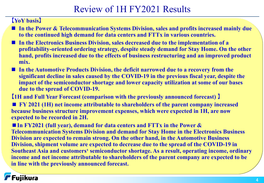## Review of 1H FY2021 Results

#### **【YoY basis】**

- In the Power & Telecommunication Systems Division, sales and profits increased mainly due **to the continued high demand for data centers and FTTx in various countries.**
- **In the Electronics Business Division, sales decreased due to the implementation of a profitability-oriented ordering strategy, despite steady demand for Stay Home. On the other hand, profits increased due to the effects of business restructuring and an improved product mix.**
- In the Automotive Products Division, the deficit narrowed due to a recovery from the **significant decline in sales caused by the COVID-19 in the previous fiscal year, despite the impact of the semiconductor shortage and lower capacity utilization at some of our bases due to the spread of COVID-19.**

**【1H and Full Year Forecast (comparison with the previously announced forecast) 】**

■ **FY 2021 (1H)** net income attributable to shareholders of the parent company increased **because business structure improvement expenses, which were expected in 1H, are now expected to be recorded in 2H.**

■ In FY2021 (full year), demand for data centers and FTTx in the Power & **Telecommunication Systems Division and demand for Stay Home in the Electronics Business Division are expected to remain strong. On the other hand, in the Automotive Business Division, shipment volume are expected to decrease due to the spread of the COVID-19 in Southeast Asia and customers' semiconductor shortage. As a result, operating income, ordinary income and net income attributable to shareholders of the parent company are expected to be in line with the previously announced forecast.**

## Fujikura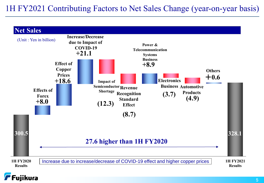## 1H FY2021 Contributing Factors to Net Sales Change (year-on-year basis)



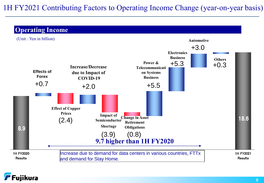## 1H FY2021 Contributing Factors to Operating Income Change (year-on-year basis)

#### **Operating Income**



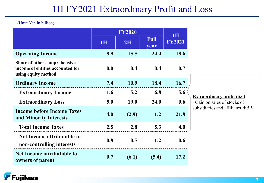## 1H FY2021 Extraordinary Profit and Loss

|                                                                                         |     | <b>FY2020</b> |                     |                            |                                                                 |
|-----------------------------------------------------------------------------------------|-----|---------------|---------------------|----------------------------|-----------------------------------------------------------------|
|                                                                                         | 1H  | 2H            | <b>Full</b><br>year | <b>1H</b><br><b>FY2021</b> |                                                                 |
| <b>Operating Income</b>                                                                 | 8.9 | 15.5          | 24.4                | 18.6                       |                                                                 |
| Share of other comprehensive<br>income of entities accounted for<br>using equity method | 0.0 | 0.4           | 0.4                 | 0.7                        |                                                                 |
| <b>Ordinary Income</b>                                                                  | 7.4 | <b>10.9</b>   | 18.4                | 16.7                       |                                                                 |
| <b>Extraordinary Income</b>                                                             | 1.6 | 5.2           | 6.8                 | 5.6                        |                                                                 |
| <b>Extraordinary Loss</b>                                                               | 5.0 | <b>19.0</b>   | <b>24.0</b>         | 0.6                        | <b>Extraordinary profit (5.6)</b><br>Gain on sales of stocks of |
| <b>Income before Income Taxes</b><br>and Minority Interests                             | 4.0 | (2.9)         | 1.2                 | 21.8                       | subsidiaries and affiliates $+5.5$                              |
| <b>Total Income Taxes</b>                                                               | 2.5 | 2.8           | 5.3                 | 4.0                        |                                                                 |
| Net Income attributable to<br>non-controlling interests                                 | 0.8 | 0.5           | 1.2                 | 0.6                        |                                                                 |
| Net Income attributable to<br>owners of parent                                          | 0.7 | (6.1)         | (5.4)               | 17.2                       |                                                                 |

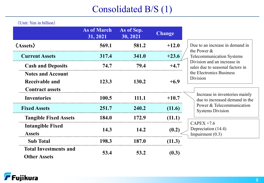## Consolidated B/S (1)

|                                                     | <b>As of March</b><br>31, 2021 | As of Sep.<br>30, 2021 | <b>Change</b> |                                                                  |
|-----------------------------------------------------|--------------------------------|------------------------|---------------|------------------------------------------------------------------|
| $\langle$ Assets $\rangle$                          | 569.1                          | 581.2                  | $+12.0$       | Due to an increase in demand in<br>the Power $&$                 |
| <b>Current Assets</b>                               | 317.4                          | 341.0                  | $+23.6$       | <b>Telecommunication Systems</b>                                 |
| <b>Cash and Deposits</b>                            | 74.7                           | 79.4                   | $+4.7$        | Division and an increase in<br>sales due to seasonal factors in  |
| <b>Notes and Account</b><br><b>Receivable and</b>   | 123.3                          | 130.2                  | $+6.9$        | the Electronics Business<br>Division                             |
| <b>Contract assets</b><br><b>Inventories</b>        | 100.5                          | 111.1                  | $+10.7$       | Increase in inventories mainly<br>due to increased demand in the |
| <b>Fixed Assets</b>                                 | 251.7                          | 240.2                  | (11.6)        | Power & Telecommunication<br><b>Systems Division</b>             |
| <b>Tangible Fixed Assets</b>                        | 184.0                          | 172.9                  | (11.1)        |                                                                  |
| <b>Intangible Fixed</b><br><b>Assets</b>            | 14.3                           | 14.2                   | (0.2)         | $CAPEX +7.6$<br>Depreciation (14.4)<br>Impairment $(0.3)$        |
| <b>Sub Total</b>                                    | 198.3                          | 187.0                  | (11.3)        |                                                                  |
| <b>Total Investments and</b><br><b>Other Assets</b> | 53.4                           | 53.2                   | (0.3)         |                                                                  |

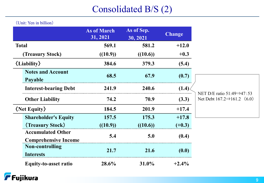## Consolidated B/S (2)

|                                                         | <b>As of March</b><br>31, 2021 | As of Sep.<br>30, 2021 | <b>Change</b> |                                                                                  |
|---------------------------------------------------------|--------------------------------|------------------------|---------------|----------------------------------------------------------------------------------|
| <b>Total</b>                                            | 569.1                          | 581.2                  | $+12.0$       |                                                                                  |
| (Treasury Stock)                                        | ((10.9))                       | ((10.6))               | $+0.3$        |                                                                                  |
| $\langle$ Liability $\rangle$                           | 384.6                          | 379.3                  | (5.4)         |                                                                                  |
| <b>Notes and Account</b><br>Payable                     | 68.5                           | 67.9                   | (0.7)         |                                                                                  |
| <b>Interest-bearing Debt</b>                            | 241.9                          | 240.6                  | (1.4)         |                                                                                  |
| <b>Other Liability</b>                                  | 74.2                           | 70.9                   | (3.3)         | NET D/E ratio $51:49 \Rightarrow 47:53$<br>Net Debt $167.2 \implies 161.2$ (6.0) |
| $\langle$ Net Equity $\rangle$                          | 184.5                          | 201.9                  | $+17.4$       |                                                                                  |
| <b>Shareholder's Equity</b>                             | 157.5                          | 175.3                  | $+17.8$       |                                                                                  |
| (Treasury Stock)                                        | ((10.9))                       | ((10.6))               | $(+0.3)$      |                                                                                  |
| <b>Accumulated Other</b><br><b>Comprehensive Income</b> | 5.4                            | 5.0                    | (0.4)         |                                                                                  |
| <b>Non-controlling</b><br><b>Interests</b>              | 21.7                           | 21.6                   | (0.0)         |                                                                                  |
| <b>Equity-to-asset ratio</b>                            | 28.6%                          | $31.0\%$               | $+2.4%$       |                                                                                  |

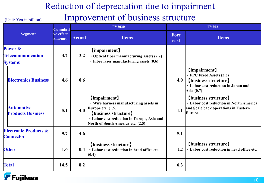## Reduction of depreciation due to impairment

## Improvement of business structure

|                                                      | Cumulati            |               | <b>FY2020</b>                                                                                                                                                                                   |              | <b>FY2021</b>                                                                                                                |
|------------------------------------------------------|---------------------|---------------|-------------------------------------------------------------------------------------------------------------------------------------------------------------------------------------------------|--------------|------------------------------------------------------------------------------------------------------------------------------|
| <b>Segment</b>                                       | ve effect<br>amount | <b>Actual</b> | <b>Items</b>                                                                                                                                                                                    | Fore<br>cast | <b>Items</b>                                                                                                                 |
| Power &<br>Telecommunication<br><b>Systems</b>       | 3.2                 | 3.2           | <b>【impairment】</b><br>• Optical fiber manufacturing assets (2.2)<br>· Fiber laser manufacturing assets (0.6)                                                                                   |              |                                                                                                                              |
| <b>Electronics Business</b>                          | 4.6                 | 0.6           |                                                                                                                                                                                                 | 4.0          | [impairment]<br>• FPC Fixed Assets (3.3)<br><b>[business structure]</b><br>· Labor cost reduction in Japan and<br>Asia (0.7) |
| <b>Automotive</b><br><b>Products Business</b>        | 5.1                 | 4.0           | [impairment]<br>• Wire harness manufacturing assets in<br>Europe etc. $(1.5)$<br><b>[business structure]</b><br>· Labor cost reduction in Europe, Asia and<br>North of South America etc. (2.5) | 1.1          | (business structure)<br><b>· Labor cost reduction in North America</b><br>and Scale back operations in Eastern<br>Europe     |
| <b>Electronic Products &amp;</b><br><b>Connector</b> | 9.7                 | 4.6           |                                                                                                                                                                                                 | 5.1          |                                                                                                                              |
| <b>Other</b>                                         | 1.6                 | 0.4           | <b>(business structure)</b><br>· Labor cost reduction in head office etc.<br>(0.4)                                                                                                              | 1.2          | (business structure)<br>· Labor cost reduction in head office etc.                                                           |
| <b>Total</b>                                         | 14.5                | 8.2           |                                                                                                                                                                                                 | 6.3          |                                                                                                                              |

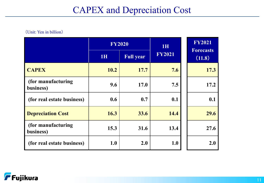## CAPEX and Depreciation Cost

|                                 |           | <b>FY2020</b>    | <b>1H</b>     | <b>FY2021</b><br><b>Forecasts</b> |  |  |
|---------------------------------|-----------|------------------|---------------|-----------------------------------|--|--|
|                                 | <b>1H</b> | <b>Full year</b> | <b>FY2021</b> | (11.8)                            |  |  |
| <b>CAPEX</b>                    | 10.2      | 17.7             | 7.6           | 17.3                              |  |  |
| (for manufacturing<br>business) | 9.6       | 17.0             | 7.5           | 17.2                              |  |  |
| (for real estate business)      | 0.6       | 0.7              | 0.1           | 0.1                               |  |  |
| <b>Depreciation Cost</b>        | 16.3      | 33.6             | 14.4          | 29.6                              |  |  |
| (for manufacturing<br>business) | 15.3      | 31.6             | 13.4          | 27.6                              |  |  |
| (for real estate business)      | 1.0       | 2.0              | <b>1.0</b>    | 2.0                               |  |  |

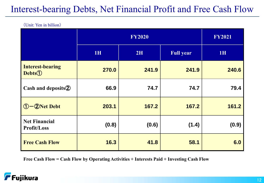## Interest-bearing Debts, Net Financial Profit and Free Cash Flow

(Unit: Yen in billion)

|                                                      |       | <b>FY2020</b> |                  | <b>FY2021</b> |
|------------------------------------------------------|-------|---------------|------------------|---------------|
|                                                      | 1H    | 2H            | <b>Full year</b> | 1H            |
| <b>Interest-bearing</b><br><b>Debts</b> <sup>1</sup> | 270.0 | 241.9         | 241.9            | 240.6         |
| Cash and deposits 2                                  | 66.9  | 74.7          | 74.7             | 79.4          |
| 1-2Net Debt                                          | 203.1 | 167.2         | 167.2            | 161.2         |
| <b>Net Financial</b><br><b>Profit/Loss</b>           | (0.8) | (0.6)         | (1.4)            | (0.9)         |
| <b>Free Cash Flow</b>                                | 16.3  | 41.8          | 58.1             | 6.0           |

**Free Cash Flow = Cash Flow by Operating Activities + Interests Paid + Investing Cash Flow**

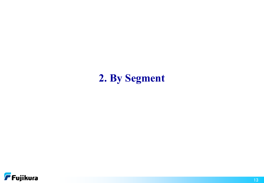## **2. By Segment**

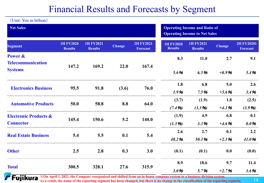## Financial Results and Forecasts by Segment

| (Unit: Yen in billion)              |                                    |                                    |                                                                              |                                     |                                    |                                    |               |                                      |  |  |
|-------------------------------------|------------------------------------|------------------------------------|------------------------------------------------------------------------------|-------------------------------------|------------------------------------|------------------------------------|---------------|--------------------------------------|--|--|
| <b>Net Sales</b>                    |                                    |                                    | <b>Operating Income and Ratio of</b><br><b>Operating Income to Net Sales</b> |                                     |                                    |                                    |               |                                      |  |  |
| <b>Segment</b>                      | <b>1H FY2020</b><br><b>Results</b> | <b>1H FY2021</b><br><b>Results</b> | <b>Change</b>                                                                | <b>2H FY2021</b><br><b>Forecast</b> | <b>1H FY2020</b><br><b>Results</b> | <b>1H FY2021</b><br><b>Results</b> | <b>Change</b> | <b>2H FY20201</b><br><b>Forecast</b> |  |  |
| Power &<br><b>Telecommunication</b> | 147.2                              | 169.2                              | 22.0                                                                         | 167.4                               | 8.3                                | <b>11.0</b>                        | 2.7           | 9.1                                  |  |  |
| <b>Systems</b>                      |                                    |                                    |                                                                              |                                     | 5.6%                               | 6.5%                               | $+0.9%$       | 5.4%                                 |  |  |
| <b>Electronics Business</b>         | 95.5                               | 91.8                               | (3.6)                                                                        | 76.0                                | 1.8                                | 6.8                                | 5.0           | 2.6                                  |  |  |
|                                     |                                    |                                    |                                                                              |                                     | 1.9%                               | 7.5%                               | $+5.6%$       | 3.4%                                 |  |  |
| <b>Automotive Products</b>          | 50.0                               | 58.8                               | 8.8                                                                          | 64.0                                | (3.7)                              | (1.9)                              | 1.8           | (2.5)                                |  |  |
|                                     |                                    |                                    |                                                                              |                                     | (7.4%)                             | (3.3 96)                           | $+4.1%$       | (3.9%)                               |  |  |
| <b>Electronic Products &amp;</b>    | 145.4                              | 150.6                              | 5.2                                                                          | 140.0                               | (1.9)                              | 4.9                                | 6.8           | 0.1                                  |  |  |
| <b>Connector</b>                    |                                    |                                    |                                                                              |                                     | $(1.3\%)$                          | 3.3%                               | $+4.6%$       | $0.0\%$                              |  |  |
| <b>Real Estate Business</b>         | 5.4                                | 5.5                                | 0.1                                                                          | 5.4                                 | 2.6                                | 2.7                                | 0.1           | 2.2                                  |  |  |
|                                     |                                    |                                    |                                                                              |                                     | 48.2%                              | 50.3%                              | $+2.1%$       | 41.0%                                |  |  |
| <b>Other</b>                        | 2.5                                | 2.8                                | 0.3                                                                          | 3.0                                 | (0.1)                              | (0.1)                              | 0.0           | (0.0)                                |  |  |
| <b>Total</b>                        | 300.5                              | 328.1                              | 27.6                                                                         | 315.9                               | 8.9                                | 18.6                               | 9.7           | 11.4                                 |  |  |
|                                     |                                    |                                    |                                                                              |                                     | 3.0%                               | 5.7%                               | $+2.7%$       | 3.6%                                 |  |  |

**※On April 1, 2021, the Company reorganized and shifted from an in-house company system to a business division system. As a result, the name of the reporting segment has been changed, but there is no change in the classification of the reporting segment.**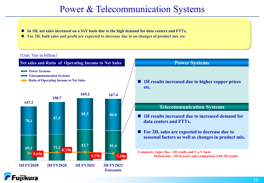## Power & Telecommunication Systems

- **In 1H, net sales increased on a YoY basis due to the high demand for data centers and FTTx.**
- **For 2H, both sales and profit are expected to decrease due to an changes of product mix etc.**

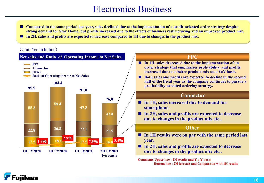## Electronics Business

- Compared to the same period last year, sales declined due to the implementation of a profit-oriented order strategy despite **strong demand for Stay Home, but profits increased due to the effects of business restructuring and an improved product mix.**
- **In 2H, sales and profits are expected to decrease compared to 1H due to changes in the product mix.**

#### (Unit: Yen in billion)



**Bottom line : 2H forecast and Comparison with 1H results**

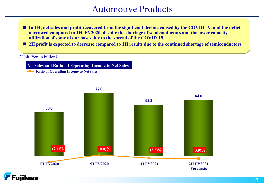## Automotive Products

- In 1H, net sales and profit recovered from the significant decline caused by the COVID-19, and the deficit **narrowed compared to 1H, FY2020, despite the shortage of semiconductors and the lower capacity utilization of some of our bases due to the spread of the COVID-19.**
- **2H profit is expected to decrease compared to 1H results due to the continued shortage of semiconductors.**

#### (Unit: Yen in billion)

**Net sales and Ratio of Operating Income to Net Sales**

**-B** Ratio of Operating Income to Net sales



72.0

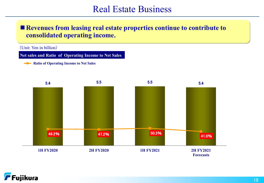## Real Estate Business

#### ■ Revenues from leasing real estate properties continue to contribute to **consolidated operating income.**

(Unit: Yen in billion)

**Net sales and Ratio of Operating Income to Net Sales**

**-B** Ratio of Operating Income to Net Sales



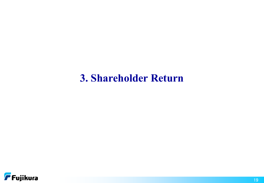## **3. Shareholder Return**

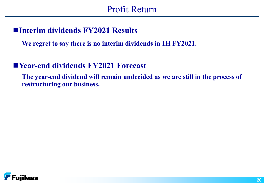## **Interim dividends FY2021 Results**

**We regret to say there is no interim dividends in 1H FY2021.**

## **Year-end dividends FY2021 Forecast**

**The year-end dividend will remain undecided as we are still in the process of restructuring our business.**

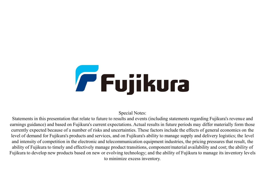# **Fujikura**

Special Notes:

Statements in this presentation that relate to future to results and events (including statements regarding Fujikura's revenue and earnings guidance) and based on Fujikura's current expectations. Actual results in future periods may differ materially form those currently expected because of a number of risks and uncertainties. These factors include the effects of general economics on the level of demand for Fujikura's products and services, and on Fujikura's ability to manage supply and delivery logistics; the level and intensity of competition in the electronic and telecommunication equipment industries, the pricing pressures that result, the ability of Fujikura to timely and effectively manage product transitions, component/material availability and cost; the ability of Fujikura to develop new products based on new or evolving technology; and the ability of Fujikura to manage its inventory levels to minimize excess inventory.